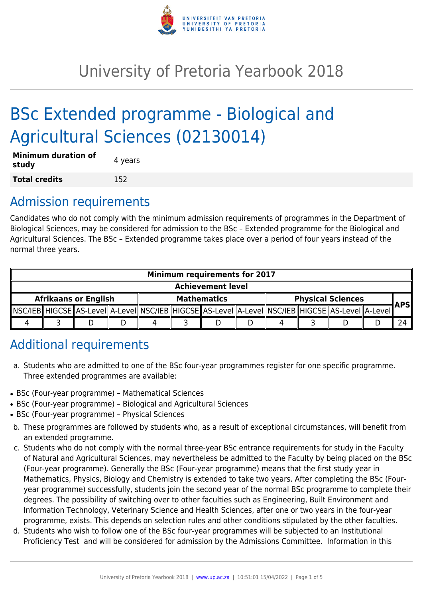

# University of Pretoria Yearbook 2018

# BSc Extended programme - Biological and Agricultural Sciences (02130014)

| <b>Minimum duration of</b><br>study | 4 years |
|-------------------------------------|---------|
| <b>Total credits</b>                | 152     |

# Admission requirements

Candidates who do not comply with the minimum admission requirements of programmes in the Department of Biological Sciences, may be considered for admission to the BSc – Extended programme for the Biological and Agricultural Sciences. The BSc – Extended programme takes place over a period of four years instead of the normal three years.

| <b>Minimum requirements for 2017</b> |  |                                                                                                            |  |                    |  |  |                          |  |  |  |            |  |
|--------------------------------------|--|------------------------------------------------------------------------------------------------------------|--|--------------------|--|--|--------------------------|--|--|--|------------|--|
| <b>Achievement level</b>             |  |                                                                                                            |  |                    |  |  |                          |  |  |  |            |  |
| <b>Afrikaans or English</b>          |  |                                                                                                            |  | <b>Mathematics</b> |  |  | <b>Physical Sciences</b> |  |  |  | <b>APS</b> |  |
|                                      |  | NSC/IEB  HIGCSE  AS-Level  A-Level  NSC/IEB  HIGCSE  AS-Level  A-Level  NSC/IEB  HIGCSE  AS-Level  A-Level |  |                    |  |  |                          |  |  |  |            |  |
|                                      |  |                                                                                                            |  |                    |  |  |                          |  |  |  |            |  |

# Additional requirements

- a. Students who are admitted to one of the BSc four-year programmes register for one specific programme. Three extended programmes are available:
- BSc (Four-year programme) Mathematical Sciences
- BSc (Four-year programme) Biological and Agricultural Sciences
- BSc (Four-year programme) Physical Sciences
- b. These programmes are followed by students who, as a result of exceptional circumstances, will benefit from an extended programme.
- c. Students who do not comply with the normal three-year BSc entrance requirements for study in the Faculty of Natural and Agricultural Sciences, may nevertheless be admitted to the Faculty by being placed on the BSc (Four-year programme). Generally the BSc (Four-year programme) means that the first study year in Mathematics, Physics, Biology and Chemistry is extended to take two years. After completing the BSc (Fouryear programme) successfully, students join the second year of the normal BSc programme to complete their degrees. The possibility of switching over to other faculties such as Engineering, Built Environment and Information Technology, Veterinary Science and Health Sciences, after one or two years in the four-year programme, exists. This depends on selection rules and other conditions stipulated by the other faculties.
- d. Students who wish to follow one of the BSc four-year programmes will be subjected to an Institutional Proficiency Test and will be considered for admission by the Admissions Committee. Information in this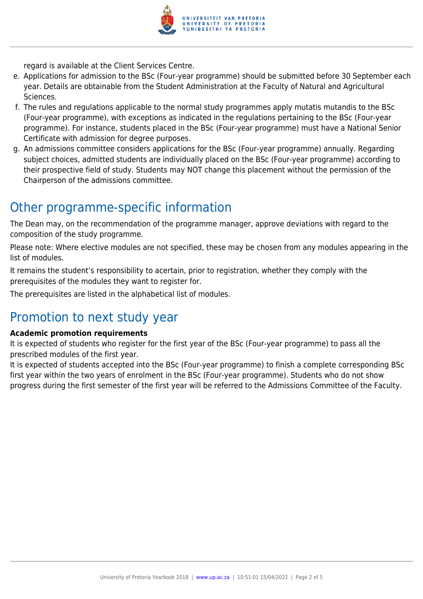

regard is available at the Client Services Centre.

- e. Applications for admission to the BSc (Four-year programme) should be submitted before 30 September each year. Details are obtainable from the Student Administration at the Faculty of Natural and Agricultural Sciences.
- f. The rules and regulations applicable to the normal study programmes apply mutatis mutandis to the BSc (Four-year programme), with exceptions as indicated in the regulations pertaining to the BSc (Four-year programme). For instance, students placed in the BSc (Four-year programme) must have a National Senior Certificate with admission for degree purposes.
- g. An admissions committee considers applications for the BSc (Four-year programme) annually. Regarding subject choices, admitted students are individually placed on the BSc (Four-year programme) according to their prospective field of study. Students may NOT change this placement without the permission of the Chairperson of the admissions committee.

# Other programme-specific information

The Dean may, on the recommendation of the programme manager, approve deviations with regard to the composition of the study programme.

Please note: Where elective modules are not specified, these may be chosen from any modules appearing in the list of modules.

It remains the student's responsibility to acertain, prior to registration, whether they comply with the prerequisites of the modules they want to register for.

The prerequisites are listed in the alphabetical list of modules.

# Promotion to next study year

### **Academic promotion requirements**

It is expected of students who register for the first year of the BSc (Four-year programme) to pass all the prescribed modules of the first year.

It is expected of students accepted into the BSc (Four-year programme) to finish a complete corresponding BSc first year within the two years of enrolment in the BSc (Four-year programme). Students who do not show progress during the first semester of the first year will be referred to the Admissions Committee of the Faculty.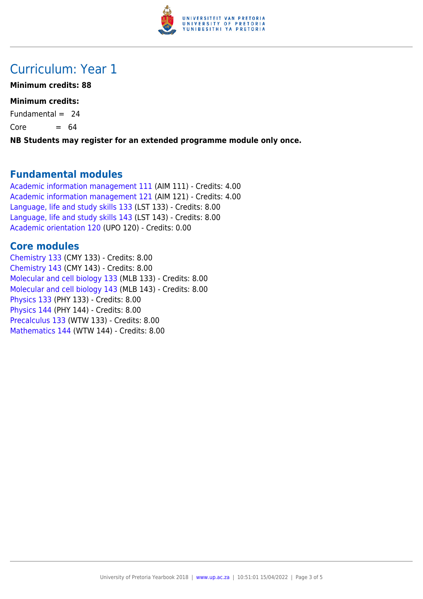

# Curriculum: Year 1

## **Minimum credits: 88**

## **Minimum credits:**

Fundamental  $= 24$ 

 $Core = 64$ 

**NB Students may register for an extended programme module only once.**

## **Fundamental modules**

[Academic information management 111](https://www.up.ac.za/yearbooks/2018/modules/view/AIM 111) (AIM 111) - Credits: 4.00 [Academic information management 121](https://www.up.ac.za/yearbooks/2018/modules/view/AIM 121) (AIM 121) - Credits: 4.00 [Language, life and study skills 133](https://www.up.ac.za/yearbooks/2018/modules/view/LST 133) (LST 133) - Credits: 8.00 [Language, life and study skills 143](https://www.up.ac.za/yearbooks/2018/modules/view/LST 143) (LST 143) - Credits: 8.00 [Academic orientation 120](https://www.up.ac.za/yearbooks/2018/modules/view/UPO 120) (UPO 120) - Credits: 0.00

## **Core modules**

[Chemistry 133](https://www.up.ac.za/yearbooks/2018/modules/view/CMY 133) (CMY 133) - Credits: 8.00 [Chemistry 143](https://www.up.ac.za/yearbooks/2018/modules/view/CMY 143) (CMY 143) - Credits: 8.00 [Molecular and cell biology 133](https://www.up.ac.za/yearbooks/2018/modules/view/MLB 133) (MLB 133) - Credits: 8.00 [Molecular and cell biology 143](https://www.up.ac.za/yearbooks/2018/modules/view/MLB 143) (MLB 143) - Credits: 8.00 [Physics 133](https://www.up.ac.za/yearbooks/2018/modules/view/PHY 133) (PHY 133) - Credits: 8.00 [Physics 144](https://www.up.ac.za/yearbooks/2018/modules/view/PHY 144) (PHY 144) - Credits: 8.00 [Precalculus 133](https://www.up.ac.za/yearbooks/2018/modules/view/WTW 133) (WTW 133) - Credits: 8.00 [Mathematics 144](https://www.up.ac.za/yearbooks/2018/modules/view/WTW 144) (WTW 144) - Credits: 8.00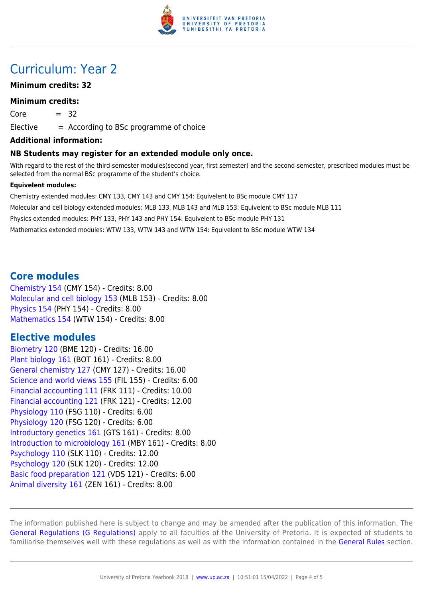

# Curriculum: Year 2

## **Minimum credits: 32**

#### **Minimum credits:**

 $Core = 32$ 

 $E$ lective  $=$  According to BSc programme of choice

#### **Additional information:**

#### **NB Students may register for an extended module only once.**

With regard to the rest of the third-semester modules(second year, first semester) and the second-semester, prescribed modules must be selected from the normal BSc programme of the student's choice.

#### **Equivelent modules:**

Chemistry extended modules: CMY 133, CMY 143 and CMY 154: Equivelent to BSc module CMY 117 Molecular and cell biology extended modules: MLB 133, MLB 143 and MLB 153: Equivelent to BSc module MLB 111 Physics extended modules: PHY 133, PHY 143 and PHY 154: Equivelent to BSc module PHY 131 Mathematics extended modules: WTW 133, WTW 143 and WTW 154: Equivelent to BSc module WTW 134

## **Core modules**

[Chemistry 154](https://www.up.ac.za/yearbooks/2018/modules/view/CMY 154) (CMY 154) - Credits: 8.00 [Molecular and cell biology 153](https://www.up.ac.za/yearbooks/2018/modules/view/MLB 153) (MLB 153) - Credits: 8.00 [Physics 154](https://www.up.ac.za/yearbooks/2018/modules/view/PHY 154) (PHY 154) - Credits: 8.00 [Mathematics 154](https://www.up.ac.za/yearbooks/2018/modules/view/WTW 154) (WTW 154) - Credits: 8.00

## **Elective modules**

[Biometry 120](https://www.up.ac.za/yearbooks/2018/modules/view/BME 120) (BME 120) - Credits: 16.00 [Plant biology 161](https://www.up.ac.za/yearbooks/2018/modules/view/BOT 161) (BOT 161) - Credits: 8.00 [General chemistry 127](https://www.up.ac.za/yearbooks/2018/modules/view/CMY 127) (CMY 127) - Credits: 16.00 [Science and world views 155](https://www.up.ac.za/yearbooks/2018/modules/view/FIL 155) (FIL 155) - Credits: 6.00 [Financial accounting 111](https://www.up.ac.za/yearbooks/2018/modules/view/FRK 111) (FRK 111) - Credits: 10.00 [Financial accounting 121](https://www.up.ac.za/yearbooks/2018/modules/view/FRK 121) (FRK 121) - Credits: 12.00 [Physiology 110](https://www.up.ac.za/yearbooks/2018/modules/view/FSG 110) (FSG 110) - Credits: 6.00 [Physiology 120](https://www.up.ac.za/yearbooks/2018/modules/view/FSG 120) (FSG 120) - Credits: 6.00 [Introductory genetics 161](https://www.up.ac.za/yearbooks/2018/modules/view/GTS 161) (GTS 161) - Credits: 8.00 [Introduction to microbiology 161](https://www.up.ac.za/yearbooks/2018/modules/view/MBY 161) (MBY 161) - Credits: 8.00 [Psychology 110](https://www.up.ac.za/yearbooks/2018/modules/view/SLK 110) (SLK 110) - Credits: 12.00 [Psychology 120](https://www.up.ac.za/yearbooks/2018/modules/view/SLK 120) (SLK 120) - Credits: 12.00 [Basic food preparation 121](https://www.up.ac.za/yearbooks/2018/modules/view/VDS 121) (VDS 121) - Credits: 6.00 [Animal diversity 161](https://www.up.ac.za/yearbooks/2018/modules/view/ZEN 161) (ZEN 161) - Credits: 8.00

The information published here is subject to change and may be amended after the publication of this information. The [General Regulations \(G Regulations\)](https://www.up.ac.za/yearbooks/2018/rules/view/REG) apply to all faculties of the University of Pretoria. It is expected of students to familiarise themselves well with these regulations as well as with the information contained in the [General Rules](https://www.up.ac.za/yearbooks/2018/rules/view/RUL) section.